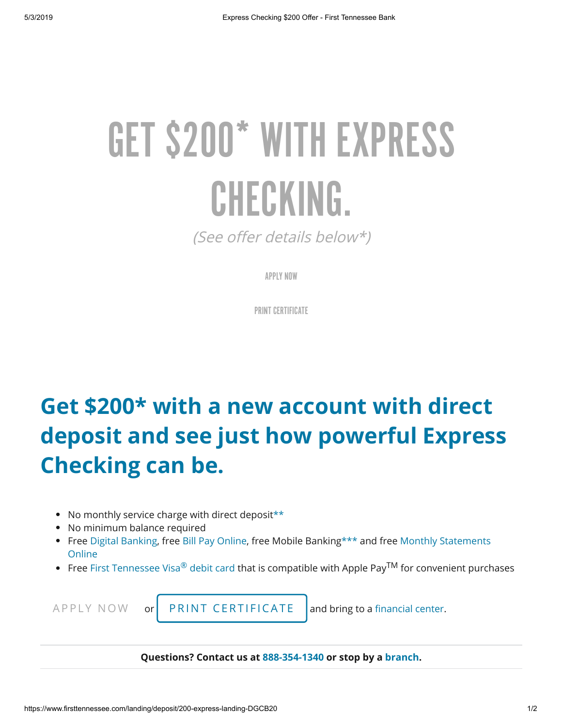## GET \$200\* WITH EXPRESS CHECKING.

(See offer details belo[w\\*](#page-0-0))

APPLY NOW

PRINT [CERTIFICATE](https://www.firsttennessee.com/landing/deposit/200-checking-cert-dgcb20)

## **Get \$200[\\*](#page-0-0) with a new account with direct deposit and see just how powerful Express Checking can be.**

- No monthly service charge with direct deposit[\\*\\*](#page-0-0)
- No minimum balance required
- [Free](https://www.firsttennessee.com/products-and-services/digital-banking-category/online-alerts-and-statements) [Digital Bankin](https://www.firsttennessee.com/products-and-services/digital-banking-category/digital-banking-detail)[g, free B](https://www.firsttennessee.com/products-and-services/digital-banking-category/online-alerts-and-statements)[ill Pay Online](https://www.firsttennessee.com/products-and-services/digital-banking-category/bill-pay)[, free Mobile Banking\\*\\*\\* and free Monthly Statements](https://www.firsttennessee.com/products-and-services/digital-banking-category/online-alerts-and-statements) **Online**
- Free [First Tennessee Visa](https://www.firsttennessee.com/products-and-services/banking/checking-accounts/first-tennessee-visa-debit-card)® debit card that is compatible with Apple Pay<sup>TM</sup> for convenient purchases

<span id="page-0-0"></span>

 $APPLY NOW$  $APPLY NOW$  or PRINT [CERT](https://www.firsttennessee.com/landing/deposit/200-checking-cert-dgcb20)IFICATE and bring to a financial center.

**Questions? Contact us at [888-354-1340](tel:888-354-1340) or stop by a [branch](https://www.firsttennessee.com/support/contact-us).**